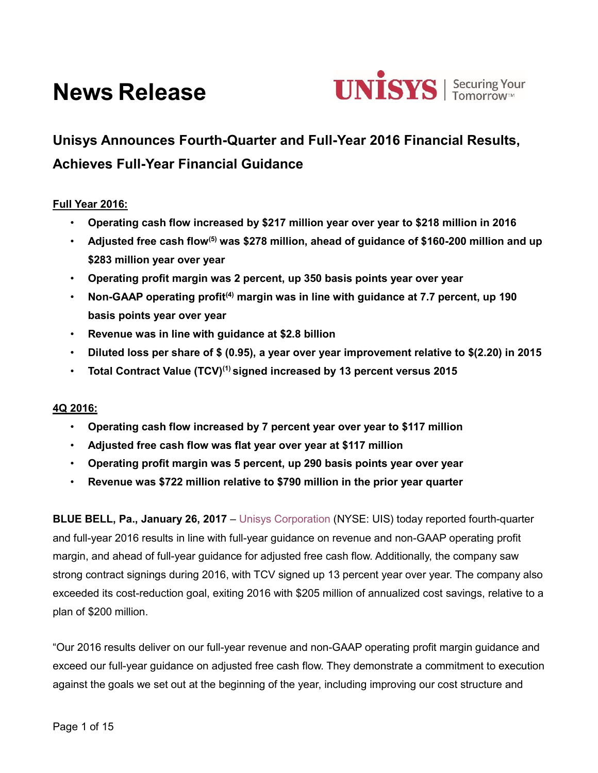# **News Release**



# **Unisys Announces Fourth-Quarter and Full-Year 2016 Financial Results, Achieves Full-Year Financial Guidance**

# **Full Year 2016:**

- **Operating cash flow increased by \$217 million year over year to \$218 million in 2016**
- **Adjusted free cash flow(5) was \$278 million, ahead of guidance of \$160-200 million and up \$283 million year over year**
- **Operating profit margin was 2 percent, up 350 basis points year over year**
- **Non-GAAP operating profit(4) margin was in line with guidance at 7.7 percent, up 190 basis points year over year**
- **Revenue was in line with guidance at \$2.8 billion**
- **Diluted loss per share of \$ (0.95), a year over year improvement relative to \$(2.20) in 2015**
- **Total Contract Value (TCV)(1) signed increased by 13 percent versus 2015**

#### **4Q 2016:**

- **Operating cash flow increased by 7 percent year over year to \$117 million**
- **Adjusted free cash flow was flat year over year at \$117 million**
- **Operating profit margin was 5 percent, up 290 basis points year over year**
- **Revenue was \$722 million relative to \$790 million in the prior year quarter**

**BLUE BELL, Pa., January 26, 2017** – [Unisys Corporation](http://www.unisys.com/) (NYSE: UIS) today reported fourth-quarter and full-year 2016 results in line with full-year guidance on revenue and non-GAAP operating profit margin, and ahead of full-year guidance for adjusted free cash flow. Additionally, the company saw strong contract signings during 2016, with TCV signed up 13 percent year over year. The company also exceeded its cost-reduction goal, exiting 2016 with \$205 million of annualized cost savings, relative to a plan of \$200 million.

"Our 2016 results deliver on our full-year revenue and non-GAAP operating profit margin guidance and exceed our full-year guidance on adjusted free cash flow. They demonstrate a commitment to execution against the goals we set out at the beginning of the year, including improving our cost structure and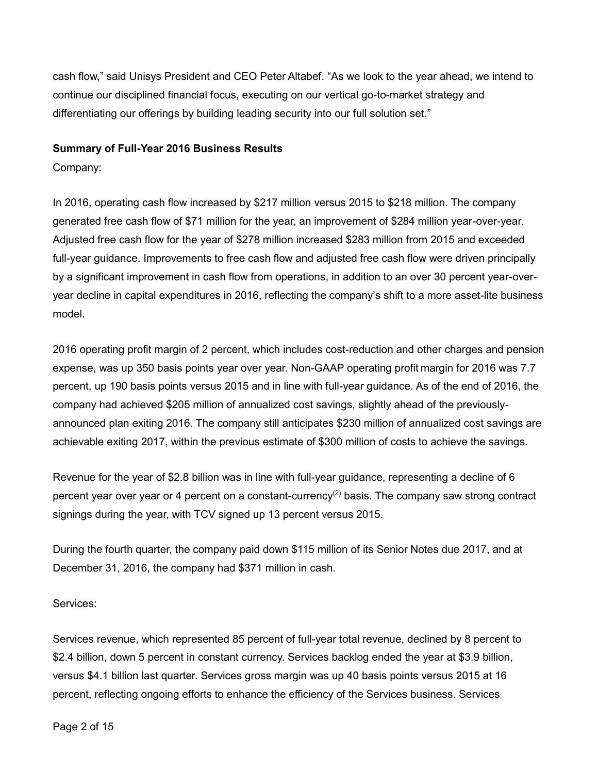cash flow," said Unisys President and CEO Peter Altabef. "As we look to the year ahead, we intend to continue our disciplined financial focus, executing on our vertical go-to-market strategy and differentiating our offerings by building leading security into our full solution set."

#### **Summary of Full-Year 2016 Business Results**

Company:

In 2016, operating cash flow increased by \$217 million versus 2015 to \$218 million. The company generated free cash flow of \$71 million for the year, an improvement of \$284 million year-over-year. Adjusted free cash flow for the year of \$278 million increased \$283 million from 2015 and exceeded full-year guidance. Improvements to free cash flow and adjusted free cash flow were driven principally by a significant improvement in cash flow from operations, in addition to an over 30 percent year-overyear decline in capital expenditures in 2016, reflecting the company's shift to a more asset-lite business model.

2016 operating profit margin of 2 percent, which includes cost-reduction and other charges and pension expense, was up 350 basis points year over year. Non-GAAP operating profit margin for 2016 was 7.7 percent, up 190 basis points versus 2015 and in line with full-year guidance. As of the end of 2016, the company had achieved \$205 million of annualized cost savings, slightly ahead of the previouslyannounced plan exiting 2016. The company still anticipates \$230 million of annualized cost savings are achievable exiting 2017, within the previous estimate of \$300 million of costs to achieve the savings.

Revenue for the year of \$2.8 billion was in line with full-year guidance, representing a decline of 6 percent year over year or 4 percent on a constant-currency<sup>(2)</sup> basis. The company saw strong contract signings during the year, with TCV signed up 13 percent versus 2015.

During the fourth quarter, the company paid down \$115 million of its Senior Notes due 2017, and at December 31, 2016, the company had \$371 million in cash.

Services:

Services revenue, which represented 85 percent of full-year total revenue, declined by 8 percent to \$2.4 billion, down 5 percent in constant currency. Services backlog ended the year at \$3.9 billion, versus \$4.1 billion last quarter. Services gross margin was up 40 basis points versus 2015 at 16 percent, reflecting ongoing efforts to enhance the efficiency of the Services business. Services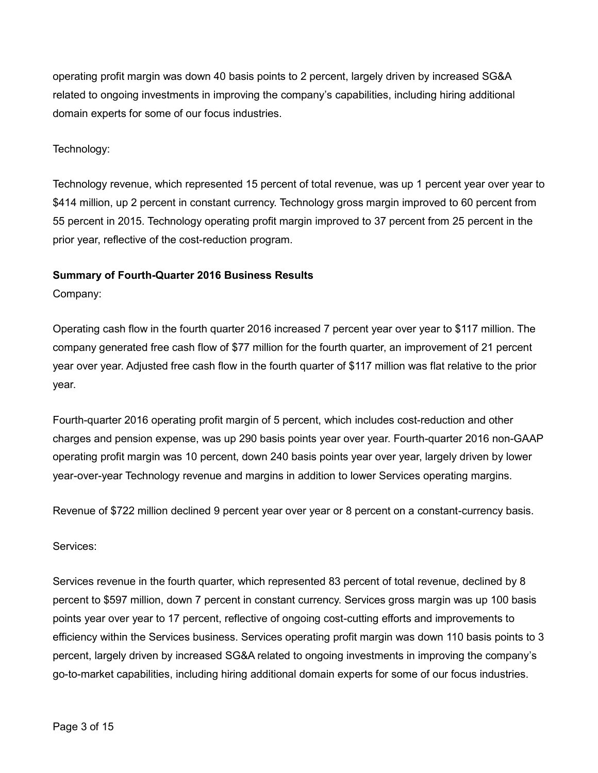operating profit margin was down 40 basis points to 2 percent, largely driven by increased SG&A related to ongoing investments in improving the company's capabilities, including hiring additional domain experts for some of our focus industries.

# Technology:

Technology revenue, which represented 15 percent of total revenue, was up 1 percent year over year to \$414 million, up 2 percent in constant currency. Technology gross margin improved to 60 percent from 55 percent in 2015. Technology operating profit margin improved to 37 percent from 25 percent in the prior year, reflective of the cost-reduction program.

# **Summary of Fourth-Quarter 2016 Business Results**

Company:

Operating cash flow in the fourth quarter 2016 increased 7 percent year over year to \$117 million. The company generated free cash flow of \$77 million for the fourth quarter, an improvement of 21 percent year over year. Adjusted free cash flow in the fourth quarter of \$117 million was flat relative to the prior year.

Fourth-quarter 2016 operating profit margin of 5 percent, which includes cost-reduction and other charges and pension expense, was up 290 basis points year over year. Fourth-quarter 2016 non-GAAP operating profit margin was 10 percent, down 240 basis points year over year, largely driven by lower year-over-year Technology revenue and margins in addition to lower Services operating margins.

Revenue of \$722 million declined 9 percent year over year or 8 percent on a constant-currency basis.

#### Services:

Services revenue in the fourth quarter, which represented 83 percent of total revenue, declined by 8 percent to \$597 million, down 7 percent in constant currency. Services gross margin was up 100 basis points year over year to 17 percent, reflective of ongoing cost-cutting efforts and improvements to efficiency within the Services business. Services operating profit margin was down 110 basis points to 3 percent, largely driven by increased SG&A related to ongoing investments in improving the company's go-to-market capabilities, including hiring additional domain experts for some of our focus industries.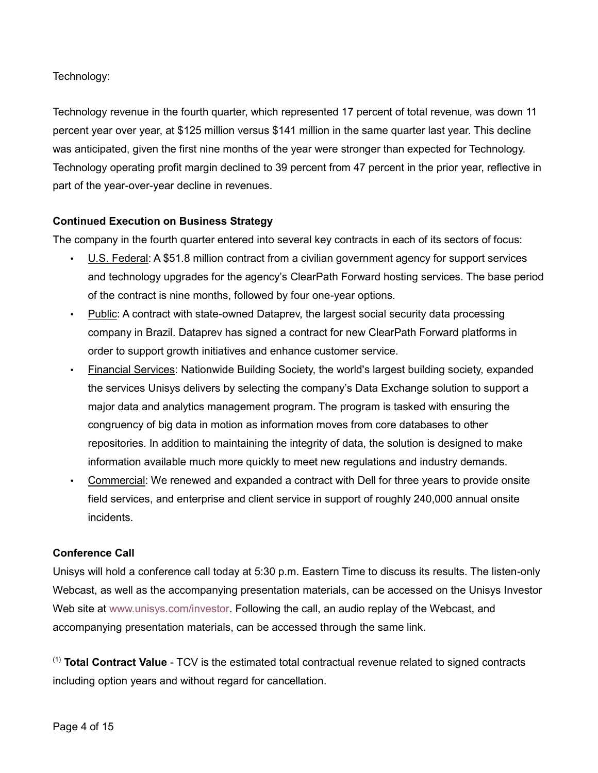# Technology:

Technology revenue in the fourth quarter, which represented 17 percent of total revenue, was down 11 percent year over year, at \$125 million versus \$141 million in the same quarter last year. This decline was anticipated, given the first nine months of the year were stronger than expected for Technology. Technology operating profit margin declined to 39 percent from 47 percent in the prior year, reflective in part of the year-over-year decline in revenues.

# **Continued Execution on Business Strategy**

The company in the fourth quarter entered into several key contracts in each of its sectors of focus:

- U.S. Federal: A \$51.8 million contract from a civilian government agency for support services and technology upgrades for the agency's ClearPath Forward hosting services. The base period of the contract is nine months, followed by four one-year options.
- Public: A contract with state-owned Dataprev, the largest social security data processing company in Brazil. Dataprev has signed a contract for new ClearPath Forward platforms in order to support growth initiatives and enhance customer service.
- Financial Services: Nationwide Building Society, the world's largest building society, expanded the services Unisys delivers by selecting the company's Data Exchange solution to support a major data and analytics management program. The program is tasked with ensuring the congruency of big data in motion as information moves from core databases to other repositories. In addition to maintaining the integrity of data, the solution is designed to make information available much more quickly to meet new regulations and industry demands.
- Commercial: We renewed and expanded a contract with Dell for three years to provide onsite field services, and enterprise and client service in support of roughly 240,000 annual onsite incidents.

#### **Conference Call**

Unisys will hold a conference call today at 5:30 p.m. Eastern Time to discuss its results. The listen-only Webcast, as well as the accompanying presentation materials, can be accessed on the Unisys Investor Web site at [www.unisys.com/investor.](http://www.unisys.com/investor) Following the call, an audio replay of the Webcast, and accompanying presentation materials, can be accessed through the same link.

(1) **Total Contract Value** - TCV is the estimated total contractual revenue related to signed contracts including option years and without regard for cancellation.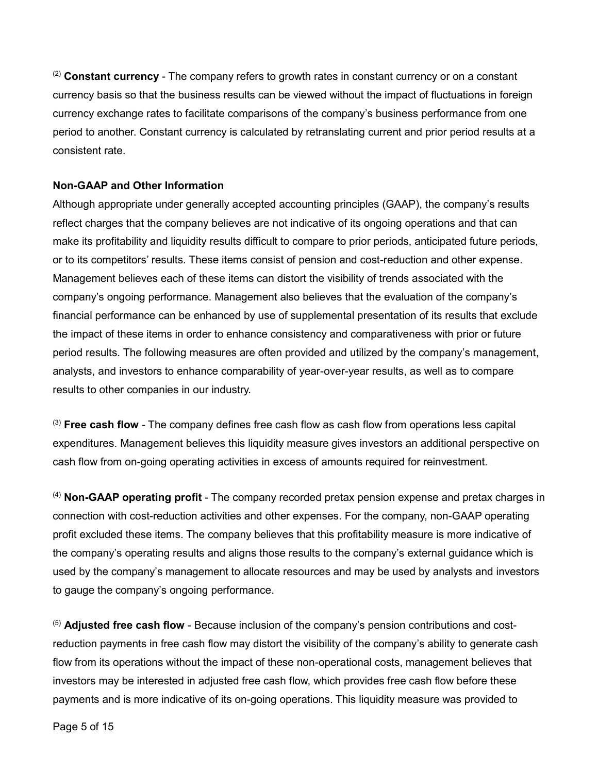(2) **Constant currency** - The company refers to growth rates in constant currency or on a constant currency basis so that the business results can be viewed without the impact of fluctuations in foreign currency exchange rates to facilitate comparisons of the company's business performance from one period to another. Constant currency is calculated by retranslating current and prior period results at a consistent rate.

# **Non-GAAP and Other Information**

Although appropriate under generally accepted accounting principles (GAAP), the company's results reflect charges that the company believes are not indicative of its ongoing operations and that can make its profitability and liquidity results difficult to compare to prior periods, anticipated future periods, or to its competitors' results. These items consist of pension and cost-reduction and other expense. Management believes each of these items can distort the visibility of trends associated with the company's ongoing performance. Management also believes that the evaluation of the company's financial performance can be enhanced by use of supplemental presentation of its results that exclude the impact of these items in order to enhance consistency and comparativeness with prior or future period results. The following measures are often provided and utilized by the company's management, analysts, and investors to enhance comparability of year-over-year results, as well as to compare results to other companies in our industry.

(3) **Free cash flow** - The company defines free cash flow as cash flow from operations less capital expenditures. Management believes this liquidity measure gives investors an additional perspective on cash flow from on-going operating activities in excess of amounts required for reinvestment.

(4) **Non-GAAP operating profit** - The company recorded pretax pension expense and pretax charges in connection with cost-reduction activities and other expenses. For the company, non-GAAP operating profit excluded these items. The company believes that this profitability measure is more indicative of the company's operating results and aligns those results to the company's external guidance which is used by the company's management to allocate resources and may be used by analysts and investors to gauge the company's ongoing performance.

(5) **Adjusted free cash flow** - Because inclusion of the company's pension contributions and costreduction payments in free cash flow may distort the visibility of the company's ability to generate cash flow from its operations without the impact of these non-operational costs, management believes that investors may be interested in adjusted free cash flow, which provides free cash flow before these payments and is more indicative of its on-going operations. This liquidity measure was provided to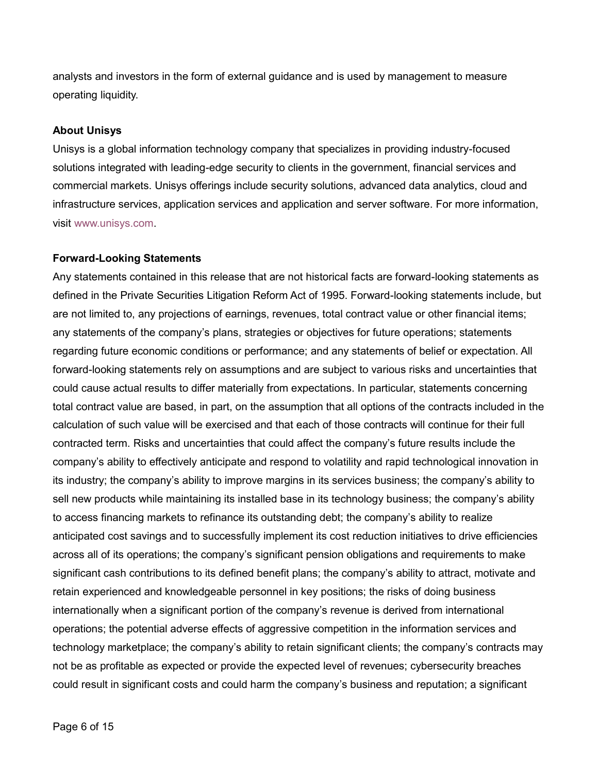analysts and investors in the form of external guidance and is used by management to measure operating liquidity.

#### **About Unisys**

Unisys is a global information technology company that specializes in providing industry-focused solutions integrated with leading-edge security to clients in the government, financial services and commercial markets. Unisys offerings include security solutions, advanced data analytics, cloud and infrastructure services, application services and application and server software. For more information, visit [www.unisys.com.](http://www.unisys.com/)

#### **Forward-Looking Statements**

Any statements contained in this release that are not historical facts are forward-looking statements as defined in the Private Securities Litigation Reform Act of 1995. Forward-looking statements include, but are not limited to, any projections of earnings, revenues, total contract value or other financial items; any statements of the company's plans, strategies or objectives for future operations; statements regarding future economic conditions or performance; and any statements of belief or expectation. All forward-looking statements rely on assumptions and are subject to various risks and uncertainties that could cause actual results to differ materially from expectations. In particular, statements concerning total contract value are based, in part, on the assumption that all options of the contracts included in the calculation of such value will be exercised and that each of those contracts will continue for their full contracted term. Risks and uncertainties that could affect the company's future results include the company's ability to effectively anticipate and respond to volatility and rapid technological innovation in its industry; the company's ability to improve margins in its services business; the company's ability to sell new products while maintaining its installed base in its technology business; the company's ability to access financing markets to refinance its outstanding debt; the company's ability to realize anticipated cost savings and to successfully implement its cost reduction initiatives to drive efficiencies across all of its operations; the company's significant pension obligations and requirements to make significant cash contributions to its defined benefit plans; the company's ability to attract, motivate and retain experienced and knowledgeable personnel in key positions; the risks of doing business internationally when a significant portion of the company's revenue is derived from international operations; the potential adverse effects of aggressive competition in the information services and technology marketplace; the company's ability to retain significant clients; the company's contracts may not be as profitable as expected or provide the expected level of revenues; cybersecurity breaches could result in significant costs and could harm the company's business and reputation; a significant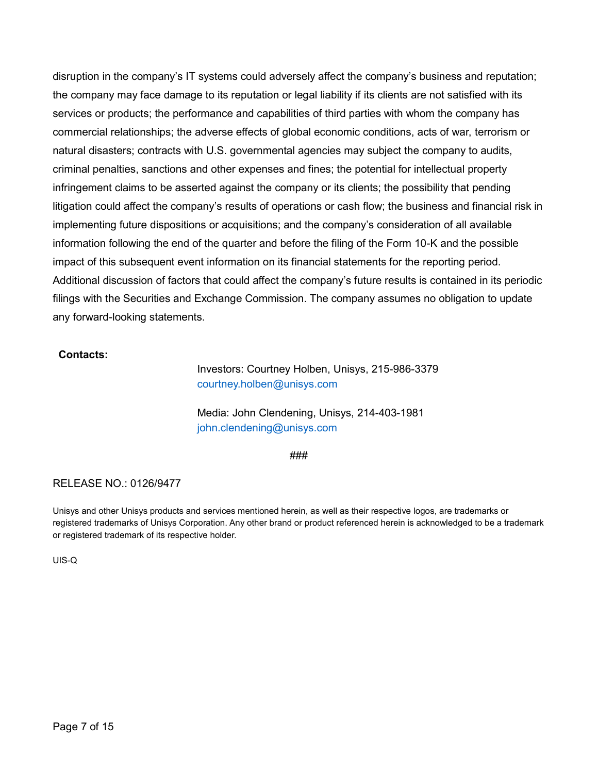disruption in the company's IT systems could adversely affect the company's business and reputation; the company may face damage to its reputation or legal liability if its clients are not satisfied with its services or products; the performance and capabilities of third parties with whom the company has commercial relationships; the adverse effects of global economic conditions, acts of war, terrorism or natural disasters; contracts with U.S. governmental agencies may subject the company to audits, criminal penalties, sanctions and other expenses and fines; the potential for intellectual property infringement claims to be asserted against the company or its clients; the possibility that pending litigation could affect the company's results of operations or cash flow; the business and financial risk in implementing future dispositions or acquisitions; and the company's consideration of all available information following the end of the quarter and before the filing of the Form 10-K and the possible impact of this subsequent event information on its financial statements for the reporting period. Additional discussion of factors that could affect the company's future results is contained in its periodic filings with the Securities and Exchange Commission. The company assumes no obligation to update any forward-looking statements.

#### **Contacts:**

Investors: Courtney Holben, Unisys, 215-986-3379 [courtney.holben@unisys.com](mailto:courtney.holben@unisys.com)

Media: John Clendening, Unisys, 214-403-1981 [john.clendening@unisys.com](mailto:john.clendening@unisys.com)

###

#### RELEASE NO.: 0126/9477

Unisys and other Unisys products and services mentioned herein, as well as their respective logos, are trademarks or registered trademarks of Unisys Corporation. Any other brand or product referenced herein is acknowledged to be a trademark or registered trademark of its respective holder.

UIS-Q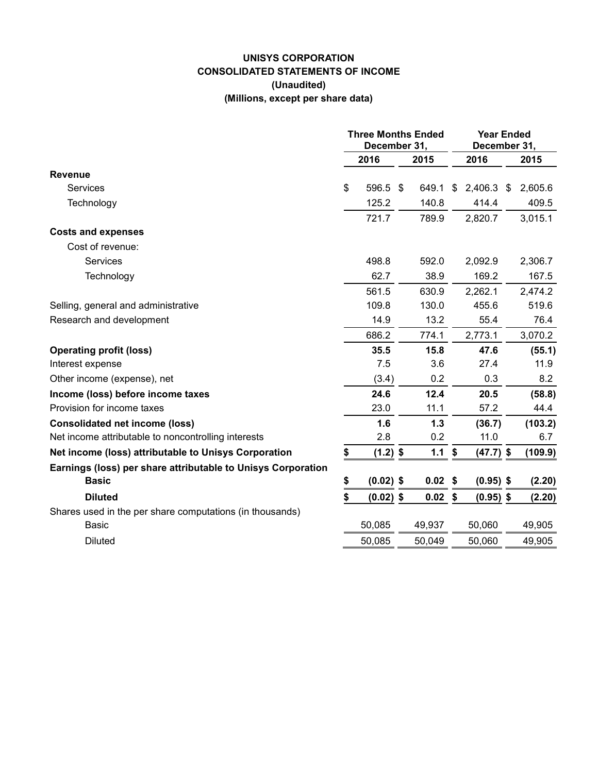# **UNISYS CORPORATION CONSOLIDATED STATEMENTS OF INCOME (Unaudited) (Millions, except per share data)**

|                                                              | <b>Three Months Ended</b><br>December 31, |             |    |           | <b>Year Ended</b><br>December 31, |             |    |         |
|--------------------------------------------------------------|-------------------------------------------|-------------|----|-----------|-----------------------------------|-------------|----|---------|
|                                                              |                                           | 2016        |    | 2015      |                                   | 2016        |    | 2015    |
| <b>Revenue</b>                                               |                                           |             |    |           |                                   |             |    |         |
| Services                                                     | \$                                        | 596.5       | \$ | 649.1     | \$                                | 2,406.3     | \$ | 2,605.6 |
| Technology                                                   |                                           | 125.2       |    | 140.8     |                                   | 414.4       |    | 409.5   |
|                                                              |                                           | 721.7       |    | 789.9     |                                   | 2,820.7     |    | 3,015.1 |
| <b>Costs and expenses</b>                                    |                                           |             |    |           |                                   |             |    |         |
| Cost of revenue:                                             |                                           |             |    |           |                                   |             |    |         |
| <b>Services</b>                                              |                                           | 498.8       |    | 592.0     |                                   | 2,092.9     |    | 2,306.7 |
| Technology                                                   |                                           | 62.7        |    | 38.9      |                                   | 169.2       |    | 167.5   |
|                                                              |                                           | 561.5       |    | 630.9     |                                   | 2,262.1     |    | 2,474.2 |
| Selling, general and administrative                          |                                           | 109.8       |    | 130.0     |                                   | 455.6       |    | 519.6   |
| Research and development                                     |                                           | 14.9        |    | 13.2      |                                   | 55.4        |    | 76.4    |
|                                                              |                                           | 686.2       |    | 774.1     |                                   | 2,773.1     |    | 3,070.2 |
| <b>Operating profit (loss)</b>                               |                                           | 35.5        |    | 15.8      |                                   | 47.6        |    | (55.1)  |
| Interest expense                                             |                                           | 7.5         |    | 3.6       |                                   | 27.4        |    | 11.9    |
| Other income (expense), net                                  |                                           | (3.4)       |    | 0.2       |                                   | 0.3         |    | 8.2     |
| Income (loss) before income taxes                            |                                           | 24.6        |    | 12.4      |                                   | 20.5        |    | (58.8)  |
| Provision for income taxes                                   |                                           | 23.0        |    | 11.1      |                                   | 57.2        |    | 44.4    |
| <b>Consolidated net income (loss)</b>                        |                                           | 1.6         |    | 1.3       |                                   | (36.7)      |    | (103.2) |
| Net income attributable to noncontrolling interests          |                                           | 2.8         |    | 0.2       |                                   | 11.0        |    | 6.7     |
| Net income (loss) attributable to Unisys Corporation         | \$                                        | $(1.2)$ \$  |    | 1.1       | \$                                | $(47.7)$ \$ |    | (109.9) |
| Earnings (loss) per share attributable to Unisys Corporation |                                           |             |    |           |                                   |             |    |         |
| <b>Basic</b>                                                 | \$                                        | $(0.02)$ \$ |    | $0.02$ \$ |                                   | $(0.95)$ \$ |    | (2.20)  |
| <b>Diluted</b>                                               | \$                                        | $(0.02)$ \$ |    | $0.02$ \$ |                                   | $(0.95)$ \$ |    | (2.20)  |
| Shares used in the per share computations (in thousands)     |                                           |             |    |           |                                   |             |    |         |
| <b>Basic</b>                                                 |                                           | 50,085      |    | 49,937    |                                   | 50,060      |    | 49,905  |
| <b>Diluted</b>                                               |                                           | 50,085      |    | 50,049    |                                   | 50,060      |    | 49,905  |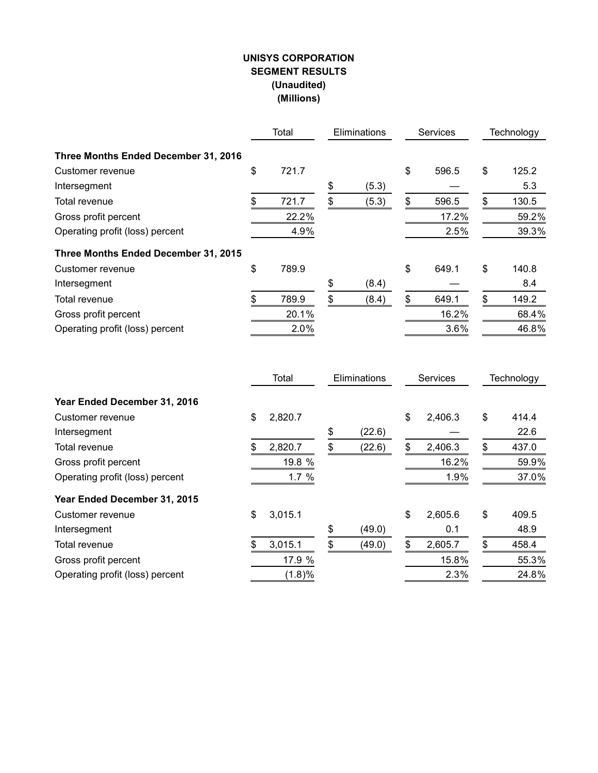# **UNISYS CORPORATION SEGMENT RESULTS (Unaudited) (Millions)**

|                                      | Total<br>Eliminations |       | <b>Services</b> | Technology  |    |       |
|--------------------------------------|-----------------------|-------|-----------------|-------------|----|-------|
| Three Months Ended December 31, 2016 |                       |       |                 |             |    |       |
| Customer revenue                     | \$                    | 721.7 |                 | \$<br>596.5 | \$ | 125.2 |
| Intersegment                         |                       |       | \$<br>(5.3)     |             |    | 5.3   |
| Total revenue                        | \$                    | 721.7 | \$<br>(5.3)     | \$<br>596.5 | \$ | 130.5 |
| Gross profit percent                 |                       | 22.2% |                 | 17.2%       |    | 59.2% |
| Operating profit (loss) percent      |                       | 4.9%  |                 | 2.5%        |    | 39.3% |
| Three Months Ended December 31, 2015 |                       |       |                 |             |    |       |
| Customer revenue                     | \$                    | 789.9 |                 | \$<br>649.1 | \$ | 140.8 |
| Intersegment                         |                       |       | \$<br>(8.4)     |             |    | 8.4   |
| Total revenue                        | \$                    | 789.9 | \$<br>(8.4)     | \$<br>649.1 | \$ | 149.2 |
| Gross profit percent                 |                       | 20.1% |                 | 16.2%       |    | 68.4% |
| Operating profit (loss) percent      |                       | 2.0%  |                 | 3.6%        |    | 46.8% |

|                                 | Total         | Eliminations |        | Services |         | Technology  |
|---------------------------------|---------------|--------------|--------|----------|---------|-------------|
| Year Ended December 31, 2016    |               |              |        |          |         |             |
| Customer revenue                | \$<br>2,820.7 |              |        | \$       | 2,406.3 | \$<br>414.4 |
| Intersegment                    |               | \$           | (22.6) |          |         | 22.6        |
| Total revenue                   | 2,820.7       | \$           | (22.6) |          | 2,406.3 | \$<br>437.0 |
| Gross profit percent            | 19.8 %        |              |        |          | 16.2%   | 59.9%       |
| Operating profit (loss) percent | 1.7%          |              |        |          | 1.9%    | 37.0%       |
| Year Ended December 31, 2015    |               |              |        |          |         |             |
| Customer revenue                | \$<br>3,015.1 |              |        | \$       | 2,605.6 | \$<br>409.5 |
| Intersegment                    |               | \$           | (49.0) |          | 0.1     | 48.9        |
| Total revenue                   | 3,015.1       | \$           | (49.0) |          | 2,605.7 | \$<br>458.4 |
| Gross profit percent            | 17.9 %        |              |        |          | 15.8%   | 55.3%       |
| Operating profit (loss) percent | $(1.8)\%$     |              |        |          | 2.3%    | 24.8%       |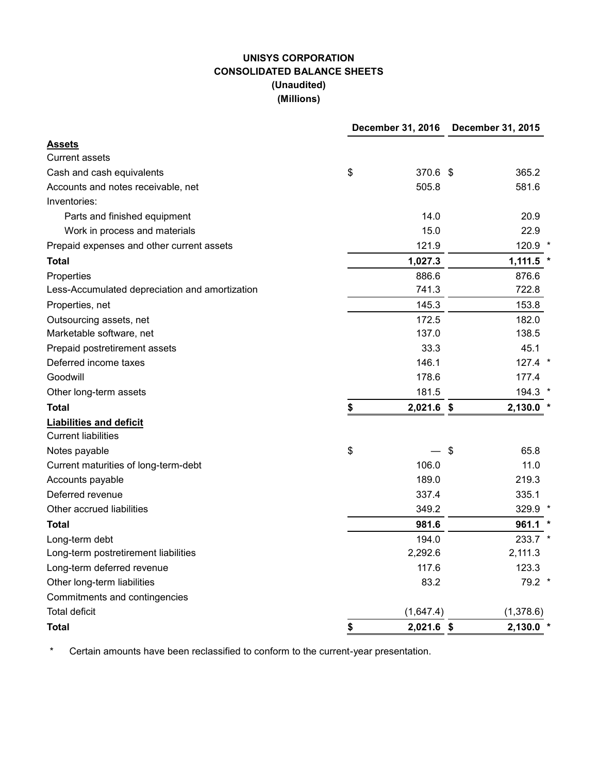# **UNISYS CORPORATION CONSOLIDATED BALANCE SHEETS (Unaudited) (Millions)**

|                                                | December 31, 2016  | <b>December 31, 2015</b> |             |  |  |
|------------------------------------------------|--------------------|--------------------------|-------------|--|--|
| <b>Assets</b>                                  |                    |                          |             |  |  |
| <b>Current assets</b>                          |                    |                          |             |  |  |
| Cash and cash equivalents                      | \$<br>370.6 \$     |                          | 365.2       |  |  |
| Accounts and notes receivable, net             | 505.8              |                          | 581.6       |  |  |
| Inventories:                                   |                    |                          |             |  |  |
| Parts and finished equipment                   | 14.0               |                          | 20.9        |  |  |
| Work in process and materials                  | 15.0               |                          | 22.9        |  |  |
| Prepaid expenses and other current assets      | 121.9              |                          | 120.9 *     |  |  |
| <b>Total</b>                                   | 1,027.3            |                          | $1,111.5$ * |  |  |
| Properties                                     | 886.6              |                          | 876.6       |  |  |
| Less-Accumulated depreciation and amortization | 741.3              |                          | 722.8       |  |  |
| Properties, net                                | 145.3              |                          | 153.8       |  |  |
| Outsourcing assets, net                        | 172.5              |                          | 182.0       |  |  |
| Marketable software, net                       | 137.0              |                          | 138.5       |  |  |
| Prepaid postretirement assets                  | 33.3               |                          | 45.1        |  |  |
| Deferred income taxes                          | 146.1              |                          | $127.4$ *   |  |  |
| Goodwill                                       | 178.6              |                          | 177.4       |  |  |
| Other long-term assets                         | 181.5              |                          | 194.3 *     |  |  |
| <b>Total</b>                                   | \$<br>$2,021.6$ \$ |                          | 2,130.0     |  |  |
| <b>Liabilities and deficit</b>                 |                    |                          |             |  |  |
| <b>Current liabilities</b>                     |                    |                          |             |  |  |
| Notes payable                                  | \$                 | \$                       | 65.8        |  |  |
| Current maturities of long-term-debt           | 106.0              |                          | 11.0        |  |  |
| Accounts payable                               | 189.0              |                          | 219.3       |  |  |
| Deferred revenue                               | 337.4              |                          | 335.1       |  |  |
| Other accrued liabilities                      | 349.2              |                          | 329.9 *     |  |  |
| <b>Total</b>                                   | 981.6              |                          | 961.1       |  |  |
| Long-term debt                                 | 194.0              |                          | 233.7 *     |  |  |
| Long-term postretirement liabilities           | 2,292.6            |                          | 2,111.3     |  |  |
| Long-term deferred revenue                     | 117.6              |                          | 123.3       |  |  |
| Other long-term liabilities                    | 83.2               |                          | 79.2 *      |  |  |
| Commitments and contingencies                  |                    |                          |             |  |  |
| <b>Total deficit</b>                           | (1,647.4)          |                          | (1,378.6)   |  |  |
| <b>Total</b>                                   | \$<br>$2,021.6$ \$ |                          | 2,130.0     |  |  |

\* Certain amounts have been reclassified to conform to the current-year presentation.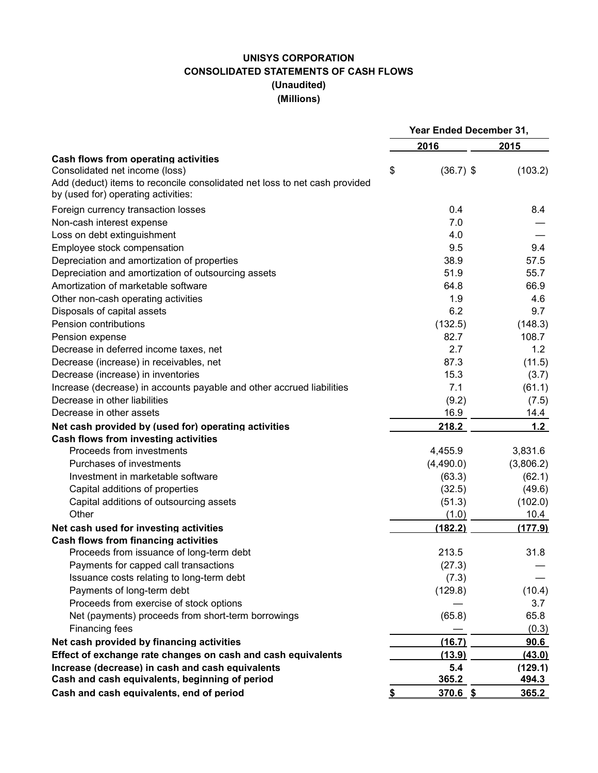# **UNISYS CORPORATION CONSOLIDATED STATEMENTS OF CASH FLOWS (Unaudited) (Millions)**

|                                                                                                                   | Year Ended December 31, |           |  |  |
|-------------------------------------------------------------------------------------------------------------------|-------------------------|-----------|--|--|
|                                                                                                                   | 2016                    | 2015      |  |  |
| Cash flows from operating activities                                                                              |                         |           |  |  |
| Consolidated net income (loss)                                                                                    | \$<br>$(36.7)$ \$       | (103.2)   |  |  |
| Add (deduct) items to reconcile consolidated net loss to net cash provided<br>by (used for) operating activities: |                         |           |  |  |
| Foreign currency transaction losses                                                                               | 0.4                     | 8.4       |  |  |
| Non-cash interest expense                                                                                         | 7.0                     |           |  |  |
| Loss on debt extinguishment                                                                                       | 4.0                     |           |  |  |
| Employee stock compensation                                                                                       | 9.5                     | 9.4       |  |  |
| Depreciation and amortization of properties                                                                       | 38.9                    | 57.5      |  |  |
| Depreciation and amortization of outsourcing assets                                                               | 51.9                    | 55.7      |  |  |
| Amortization of marketable software                                                                               | 64.8                    | 66.9      |  |  |
| Other non-cash operating activities                                                                               | 1.9                     | 4.6       |  |  |
| Disposals of capital assets                                                                                       | 6.2                     | 9.7       |  |  |
| Pension contributions                                                                                             | (132.5)                 | (148.3)   |  |  |
| Pension expense                                                                                                   | 82.7                    | 108.7     |  |  |
| Decrease in deferred income taxes, net                                                                            | 2.7                     | 1.2       |  |  |
| Decrease (increase) in receivables, net                                                                           | 87.3                    | (11.5)    |  |  |
| Decrease (increase) in inventories                                                                                | 15.3                    | (3.7)     |  |  |
| Increase (decrease) in accounts payable and other accrued liabilities                                             | 7.1                     | (61.1)    |  |  |
| Decrease in other liabilities                                                                                     | (9.2)                   | (7.5)     |  |  |
| Decrease in other assets                                                                                          | 16.9                    | 14.4      |  |  |
| Net cash provided by (used for) operating activities                                                              | 218.2                   | 1.2       |  |  |
| Cash flows from investing activities                                                                              |                         |           |  |  |
| Proceeds from investments                                                                                         | 4,455.9                 | 3,831.6   |  |  |
| Purchases of investments                                                                                          | (4,490.0)               | (3,806.2) |  |  |
| Investment in marketable software                                                                                 | (63.3)                  | (62.1)    |  |  |
| Capital additions of properties                                                                                   | (32.5)                  | (49.6)    |  |  |
| Capital additions of outsourcing assets                                                                           | (51.3)                  | (102.0)   |  |  |
| Other                                                                                                             | (1.0)                   | 10.4      |  |  |
| Net cash used for investing activities                                                                            | (182.2)                 | (177.9)   |  |  |
| <b>Cash flows from financing activities</b>                                                                       |                         |           |  |  |
| Proceeds from issuance of long-term debt                                                                          | 213.5                   | 31.8      |  |  |
| Payments for capped call transactions                                                                             | (27.3)                  |           |  |  |
| Issuance costs relating to long-term debt                                                                         | (7.3)                   |           |  |  |
| Payments of long-term debt                                                                                        | (129.8)                 | (10.4)    |  |  |
| Proceeds from exercise of stock options                                                                           |                         | 3.7       |  |  |
| Net (payments) proceeds from short-term borrowings                                                                | (65.8)                  | 65.8      |  |  |
| Financing fees                                                                                                    |                         | (0.3)     |  |  |
| Net cash provided by financing activities                                                                         | (16.7)                  | 90.6      |  |  |
| Effect of exchange rate changes on cash and cash equivalents                                                      | (13.9)                  | (43.0)    |  |  |
| Increase (decrease) in cash and cash equivalents                                                                  | 5.4                     | (129.1)   |  |  |
| Cash and cash equivalents, beginning of period                                                                    | 365.2                   | 494.3     |  |  |
| Cash and cash equivalents, end of period                                                                          | \$<br>$370.6$ \$        | 365.2     |  |  |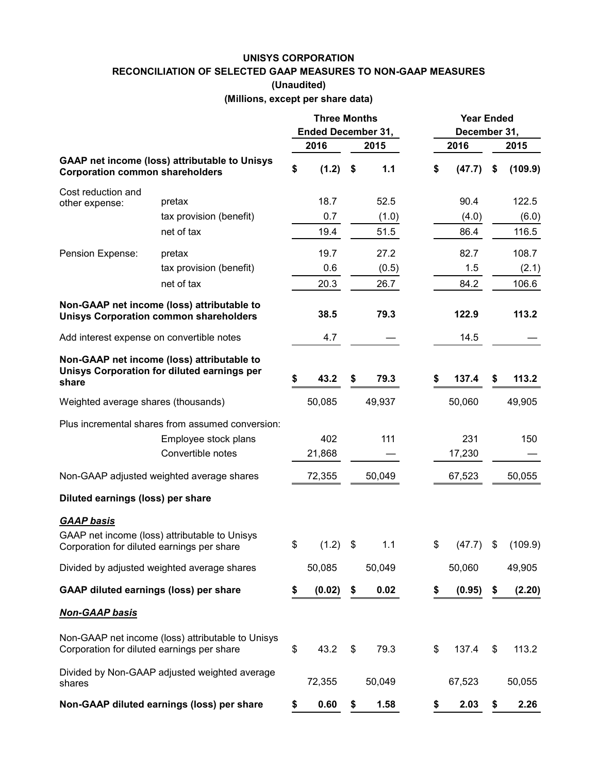#### **UNISYS CORPORATION**

**RECONCILIATION OF SELECTED GAAP MEASURES TO NON-GAAP MEASURES**

**(Unaudited)**

**(Millions, except per share data)**

|                                               |                                                                                             | <b>Three Months</b>       |        |            | <b>Year Ended</b> |              |    |         |  |
|-----------------------------------------------|---------------------------------------------------------------------------------------------|---------------------------|--------|------------|-------------------|--------------|----|---------|--|
|                                               |                                                                                             | <b>Ended December 31,</b> |        |            |                   | December 31, |    |         |  |
|                                               |                                                                                             |                           | 2016   | 2015       |                   | 2016         |    | 2015    |  |
| <b>Corporation common shareholders</b>        | <b>GAAP net income (loss) attributable to Unisys</b>                                        | \$                        | (1.2)  | \$<br>1.1  | \$                | (47.7)       | \$ | (109.9) |  |
| Cost reduction and<br>other expense:          | pretax                                                                                      |                           | 18.7   | 52.5       |                   | 90.4         |    | 122.5   |  |
|                                               | tax provision (benefit)                                                                     |                           | 0.7    | (1.0)      |                   | (4.0)        |    | (6.0)   |  |
|                                               | net of tax                                                                                  |                           | 19.4   | 51.5       |                   | 86.4         |    | 116.5   |  |
| Pension Expense:                              | pretax                                                                                      |                           | 19.7   | 27.2       |                   | 82.7         |    | 108.7   |  |
|                                               | tax provision (benefit)                                                                     |                           | 0.6    | (0.5)      |                   | 1.5          |    | (2.1)   |  |
|                                               | net of tax                                                                                  |                           | 20.3   | 26.7       |                   | 84.2         |    | 106.6   |  |
|                                               | Non-GAAP net income (loss) attributable to<br><b>Unisys Corporation common shareholders</b> |                           | 38.5   | 79.3       |                   | 122.9        |    | 113.2   |  |
| Add interest expense on convertible notes     |                                                                                             |                           | 4.7    |            |                   | 14.5         |    |         |  |
| share                                         | Non-GAAP net income (loss) attributable to<br>Unisys Corporation for diluted earnings per   | \$                        | 43.2   | \$<br>79.3 | S                 | 137.4        | S  | 113.2   |  |
| Weighted average shares (thousands)           |                                                                                             |                           | 50,085 | 49,937     |                   | 50,060       |    | 49,905  |  |
|                                               | Plus incremental shares from assumed conversion:                                            |                           |        |            |                   |              |    |         |  |
|                                               | Employee stock plans                                                                        |                           | 402    | 111        |                   | 231          |    | 150     |  |
|                                               | Convertible notes                                                                           |                           | 21,868 |            |                   | 17,230       |    |         |  |
|                                               | Non-GAAP adjusted weighted average shares                                                   |                           | 72,355 | 50,049     |                   | 67,523       |    | 50,055  |  |
| Diluted earnings (loss) per share             |                                                                                             |                           |        |            |                   |              |    |         |  |
| <b>GAAP basis</b>                             |                                                                                             |                           |        |            |                   |              |    |         |  |
| Corporation for diluted earnings per share    | GAAP net income (loss) attributable to Unisys                                               | \$                        | (1.2)  | \$<br>1.1  | \$                | (47.7)       | \$ | (109.9) |  |
|                                               | Divided by adjusted weighted average shares                                                 |                           | 50,085 | 50,049     |                   | 50,060       |    | 49,905  |  |
| <b>GAAP diluted earnings (loss) per share</b> |                                                                                             | \$                        | (0.02) | \$<br>0.02 | \$                | (0.95)       | \$ | (2.20)  |  |
| <b>Non-GAAP basis</b>                         |                                                                                             |                           |        |            |                   |              |    |         |  |
| Corporation for diluted earnings per share    | Non-GAAP net income (loss) attributable to Unisys                                           | \$                        | 43.2   | \$<br>79.3 | \$                | 137.4        | \$ | 113.2   |  |
| shares                                        | Divided by Non-GAAP adjusted weighted average                                               |                           | 72,355 | 50,049     |                   | 67,523       |    | 50,055  |  |
|                                               | Non-GAAP diluted earnings (loss) per share                                                  | \$                        | 0.60   | \$<br>1.58 | \$                | 2.03         | \$ | 2.26    |  |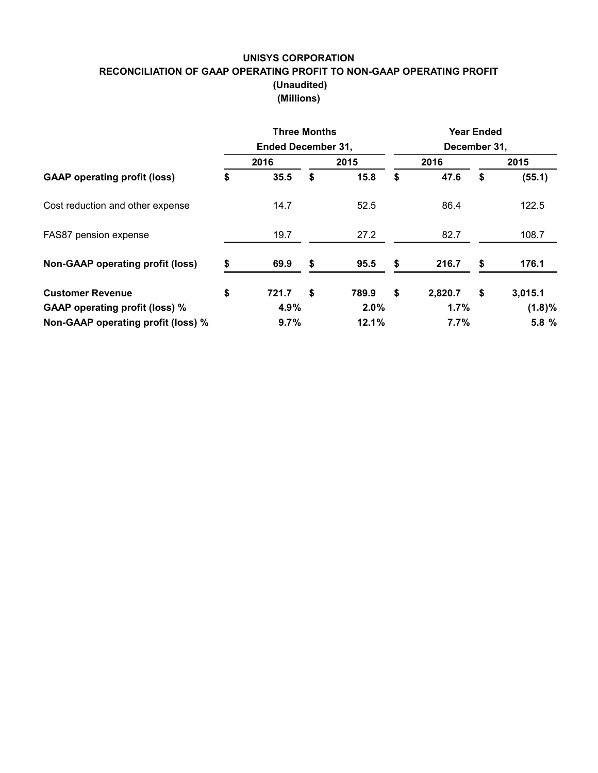# **UNISYS CORPORATION RECONCILIATION OF GAAP OPERATING PROFIT TO NON-GAAP OPERATING PROFIT (Unaudited) (Millions)**

|                                         | <b>Three Months</b><br><b>Ended December 31,</b> |    | <b>Year Ended</b><br>December 31, |    |         |      |           |  |
|-----------------------------------------|--------------------------------------------------|----|-----------------------------------|----|---------|------|-----------|--|
| <b>GAAP</b> operating profit (loss)     | 2016                                             |    | 2015                              |    | 2016    | 2015 |           |  |
|                                         | \$<br>35.5                                       | \$ | 15.8                              | \$ | 47.6    | \$   | (55.1)    |  |
| Cost reduction and other expense        | 14.7                                             |    | 52.5                              |    | 86.4    |      | 122.5     |  |
| FAS87 pension expense                   | 19.7                                             |    | 27.2                              |    | 82.7    |      | 108.7     |  |
| <b>Non-GAAP operating profit (loss)</b> | \$<br>69.9                                       | \$ | 95.5                              | \$ | 216.7   | S    | 176.1     |  |
| <b>Customer Revenue</b>                 | \$<br>721.7                                      | \$ | 789.9                             | \$ | 2,820.7 | \$   | 3,015.1   |  |
| <b>GAAP operating profit (loss) %</b>   | 4.9%                                             |    | $2.0\%$                           |    | 1.7%    |      | $(1.8)\%$ |  |
| Non-GAAP operating profit (loss) %      | 9.7%                                             |    | 12.1%                             |    | 7.7%    |      | 5.8 %     |  |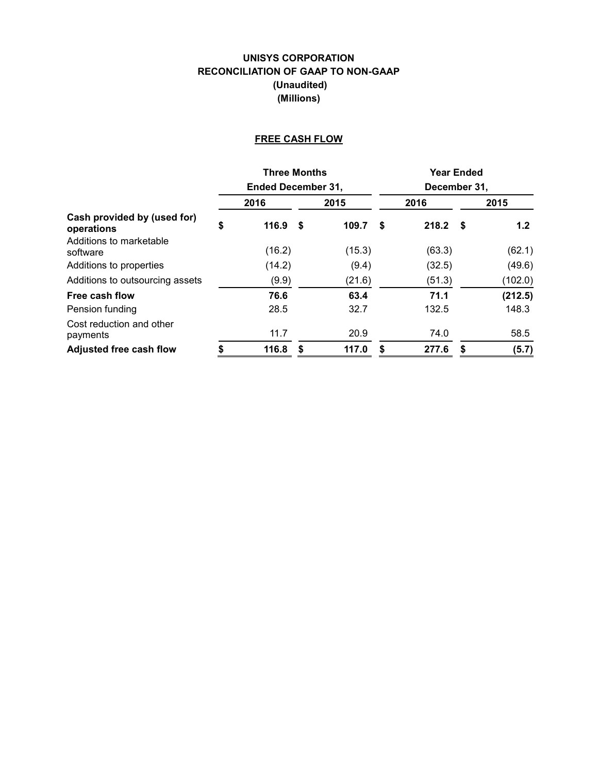# **UNISYS CORPORATION RECONCILIATION OF GAAP TO NON-GAAP (Unaudited) (Millions)**

# **FREE CASH FLOW**

|                                           |      | <b>Three Months</b>       |    |        | <b>Year Ended</b> |              |      |         |  |  |
|-------------------------------------------|------|---------------------------|----|--------|-------------------|--------------|------|---------|--|--|
|                                           |      | <b>Ended December 31,</b> |    |        |                   | December 31, |      |         |  |  |
|                                           | 2016 |                           |    | 2015   |                   | 2016         | 2015 |         |  |  |
| Cash provided by (used for)<br>operations | \$   | 116.9                     | -S | 109.7  | \$                | 218.2        | - \$ | 1.2     |  |  |
| Additions to marketable<br>software       |      | (16.2)                    |    | (15.3) |                   | (63.3)       |      | (62.1)  |  |  |
| Additions to properties                   |      | (14.2)                    |    | (9.4)  |                   | (32.5)       |      | (49.6)  |  |  |
| Additions to outsourcing assets           |      | (9.9)                     |    | (21.6) |                   | (51.3)       |      | (102.0) |  |  |
| Free cash flow                            |      | 76.6                      |    | 63.4   |                   | 71.1         |      | (212.5) |  |  |
| Pension funding                           |      | 28.5                      |    | 32.7   |                   | 132.5        |      | 148.3   |  |  |
| Cost reduction and other<br>payments      |      | 11.7                      |    | 20.9   |                   | 74.0         |      | 58.5    |  |  |
| <b>Adjusted free cash flow</b>            | \$   | 116.8                     | S  | 117.0  | S                 | 277.6        | S    | (5.7)   |  |  |